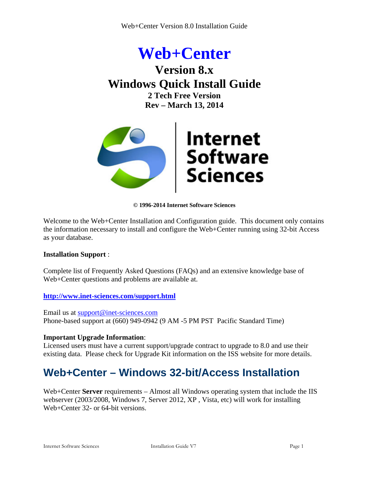# **Web+Center Version 8.x Windows Quick Install Guide 2 Tech Free Version Rev – March 13, 2014**



**© 1996-2014 Internet Software Sciences**

Welcome to the Web+Center Installation and Configuration guide. This document only contains the information necessary to install and configure the Web+Center running using 32-bit Access as your database.

#### **Installation Support** :

Complete list of Frequently Asked Questions (FAQs) and an extensive knowledge base of Web+Center questions and problems are available at.

#### **http://www.inet-sciences.com/support.html**

Email us at [support@inet-sciences.com](mailto:support@inet-sciences.com) Phone-based support at (660) 949-0942 (9 AM -5 PM PST Pacific Standard Time)

#### **Important Upgrade Information**:

Licensed users must have a current support/upgrade contract to upgrade to 8.0 and use their existing data. Please check for Upgrade Kit information on the ISS website for more details.

# **Web+Center – Windows 32-bit/Access Installation**

Web+Center **Server** requirements – Almost all Windows operating system that include the IIS webserver (2003/2008, Windows 7, Server 2012, XP , Vista, etc) will work for installing Web+Center 32- or 64-bit versions.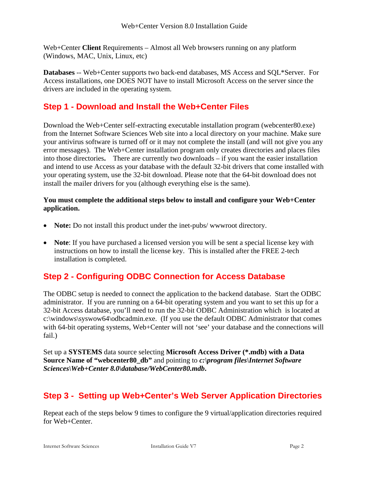Web+Center **Client** Requirements – Almost all Web browsers running on any platform (Windows, MAC, Unix, Linux, etc)

**Databases** -- Web+Center supports two back-end databases, MS Access and SQL\*Server. For Access installations, one DOES NOT have to install Microsoft Access on the server since the drivers are included in the operating system.

## **Step 1 - Download and Install the Web+Center Files**

Download the Web+Center self-extracting executable installation program (webcenter80.exe) from the Internet Software Sciences Web site into a local directory on your machine. Make sure your antivirus software is turned off or it may not complete the install (and will not give you any error messages). The Web+Center installation program only creates directories and places files into those directories**.** There are currently two downloads – if you want the easier installation and intend to use Access as your database with the default 32-bit drivers that come installed with your operating system, use the 32-bit download. Please note that the 64-bit download does not install the mailer drivers for you (although everything else is the same).

#### **You must complete the additional steps below to install and configure your Web+Center application.**

- **Note:** Do not install this product under the inet-pubs/www.root directory.
- **Note**: If you have purchased a licensed version you will be sent a special license key with instructions on how to install the license key. This is installed after the FREE 2-tech installation is completed.

## **Step 2 - Configuring ODBC Connection for Access Database**

The ODBC setup is needed to connect the application to the backend database. Start the ODBC administrator. If you are running on a 64-bit operating system and you want to set this up for a 32-bit Access database, you'll need to run the 32-bit ODBC Administration which is located at c:\windows\syswow64\odbcadmin.exe. (If you use the default ODBC Administrator that comes with 64-bit operating systems, Web+Center will not 'see' your database and the connections will fail.)

Set up a **SYSTEMS** data source selecting **Microsoft Access Driver (\*.mdb) with a Data Source Name of "webcenter80\_db"** and pointing to *c:\program files\Internet Software Sciences\Web+Center 8.0\database/WebCenter80.mdb***.** 

## **Step 3 - Setting up Web+Center's Web Server Application Directories**

Repeat each of the steps below 9 times to configure the 9 virtual/application directories required for Web+Center.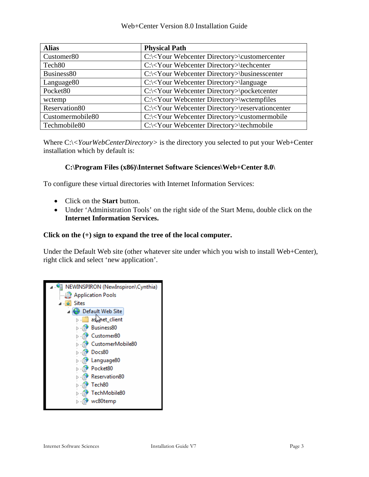Web+Center Version 8.0 Installation Guide

| <b>Alias</b>           | <b>Physical Path</b>                                          |  |
|------------------------|---------------------------------------------------------------|--|
| Customer <sub>80</sub> | C:\ <your directory="" webcenter="">\customercenter</your>    |  |
| Tech <sub>80</sub>     | C:\ <your directory="" webcenter="">\techcenter</your>        |  |
| Business <sub>80</sub> | C:\ <your directory="" webcenter="">\businesscenter</your>    |  |
| Language <sub>80</sub> | C:\ <your directory="" webcenter="">\language</your>          |  |
| Pocket <sub>80</sub>   | C:\ <your directory="" webcenter="">\pocketcenter</your>      |  |
| wctemp                 | C:\ <your directory="" webcenter="">\wctempfiles</your>       |  |
| Reservation80          | C:\ <your directory="" webcenter="">\reservationcenter</your> |  |
| Customermobile80       | C:\ <your directory="" webcenter="">\customermobile</your>    |  |
| Techmobile80           | C:\ <your directory="" webcenter="">\techmobile</your>        |  |

Where C:\<*YourWebCenterDirectory*> is the directory you selected to put your Web+Center installation which by default is:

#### **C:\Program Files (x86)\Internet Software Sciences\Web+Center 8.0\**

To configure these virtual directories with Internet Information Services:

- Click on the **Start** button.
- Under 'Administration Tools' on the right side of the Start Menu, double click on the **Internet Information Services.**

#### **Click on the (+) sign to expand the tree of the local computer.**

Under the Default Web site (other whatever site under which you wish to install Web+Center), right click and select 'new application'.

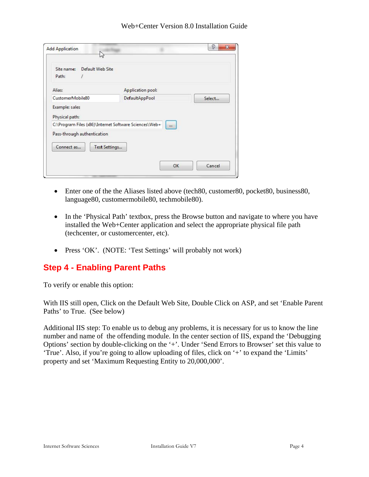| Default Web Site<br>Site name:<br>Path:                                               |                   |        |
|---------------------------------------------------------------------------------------|-------------------|--------|
| Alias:                                                                                | Application pool: |        |
| CustomerMobile80                                                                      | DefaultAppPool    | Select |
| Example: sales<br>Physical path:                                                      |                   |        |
| C:\Program Files (x86)\Internet Software Sciences\Web+<br>Pass-through authentication | $\cdots$          |        |
| Connect as<br>Test Settings                                                           |                   |        |

- Enter one of the the Aliases listed above (tech80, customer80, pocket80, business80, language80, customermobile80, techmobile80).
- In the 'Physical Path' textbox, press the Browse button and navigate to where you have installed the Web+Center application and select the appropriate physical file path (techcenter, or customercenter, etc).
- Press 'OK'. (NOTE: 'Test Settings' will probably not work)

## **Step 4 - Enabling Parent Paths**

To verify or enable this option:

With IIS still open, Click on the Default Web Site, Double Click on ASP, and set 'Enable Parent Paths' to True. (See below)

Additional IIS step: To enable us to debug any problems, it is necessary for us to know the line number and name of the offending module. In the center section of IIS, expand the 'Debugging Options' section by double-clicking on the '+'. Under 'Send Errors to Browser' set this value to 'True'. Also, if you're going to allow uploading of files, click on '+' to expand the 'Limits' property and set 'Maximum Requesting Entity to 20,000,000'.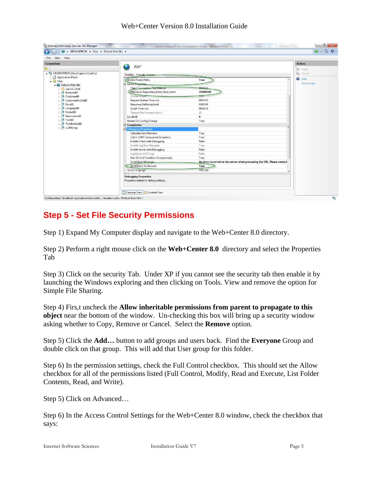#### Web+Center Version 8.0 Installation Guide



## **Step 5 - Set File Security Permissions**

Step 1) Expand My Computer display and navigate to the Web+Center 8.0 directory.

Step 2) Perform a right mouse click on the **Web+Center 8.0** directory and select the Properties Tab

Step 3) Click on the security Tab. Under XP if you cannot see the security tab then enable it by launching the Windows exploring and then clicking on Tools. View and remove the option for Simple File Sharing.

Step 4) Firs,t uncheck the **Allow inheritable permissions from parent to propagate to this object** near the bottom of the window. Un-checking this box will bring up a security window asking whether to Copy, Remove or Cancel. Select the **Remove** option.

Step 5) Click the **Add…** button to add groups and users back. Find the **Everyone** Group and double click on that group. This will add that User group for this folder.

Step 6) In the permission settings, check the Full Control checkbox. This should set the Allow checkbox for all of the permissions listed (Full Control, Modify, Read and Execute, List Folder Contents, Read, and Write).

Step 5) Click on Advanced…

Step 6) In the Access Control Settings for the Web+Center 8.0 window, check the checkbox that says: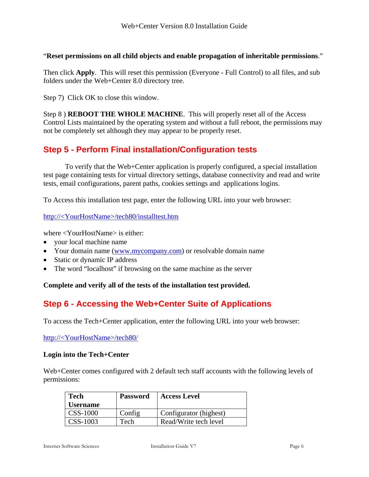#### "**Reset permissions on all child objects and enable propagation of inheritable permissions**."

Then click **Apply**. This will reset this permission (Everyone - Full Control) to all files, and sub folders under the Web+Center 8.0 directory tree.

Step 7) Click OK to close this window.

Step 8 ) **REBOOT THE WHOLE MACHINE**. This will properly reset all of the Access Control Lists maintained by the operating system and without a full reboot, the permissions may not be completely set although they may appear to be properly reset.

## **Step 5 - Perform Final installation/Configuration tests**

To verify that the Web+Center application is properly configured, a special installation test page containing tests for virtual directory settings, database connectivity and read and write tests, email configurations, parent paths, cookies settings and applications logins.

To Access this installation test page, enter the following URL into your web browser:

#### http://<YourHostName>/tech80/installtest.htm

where <YourHostName> is either:

- your local machine name
- Your domain name ([www.mycompany.com\)](http://www.mycompany.com/) or resolvable domain name
- Static or dynamic IP address
- The word "localhost" if browsing on the same machine as the server

#### **Complete and verify all of the tests of the installation test provided.**

## **Step 6 - Accessing the Web+Center Suite of Applications**

To access the Tech+Center application, enter the following URL into your web browser:

http://<YourHostName>/tech80/

#### **Login into the Tech+Center**

Web+Center comes configured with 2 default tech staff accounts with the following levels of permissions:

| <b>Tech</b>     | <b>Password</b> | <b>Access Level</b>    |
|-----------------|-----------------|------------------------|
| <b>Username</b> |                 |                        |
| CSS-1000        | Config          | Configurator (highest) |
| CSS-1003        | Tech            | Read/Write tech level  |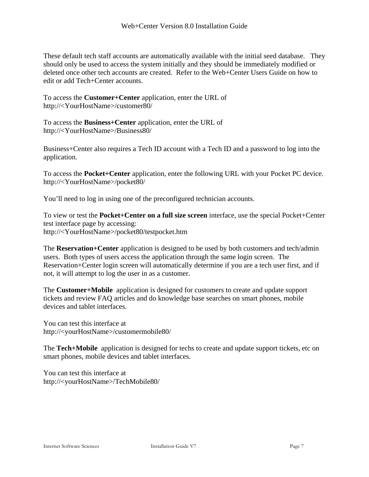These default tech staff accounts are automatically available with the initial seed database. They should only be used to access the system initially and they should be immediately modified or deleted once other tech accounts are created. Refer to the Web+Center Users Guide on how to edit or add Tech+Center accounts.

To access the **Customer+Center** application, enter the URL of http://<YourHostName>/customer80/

To access the **Business+Center** application, enter the URL of http://<YourHostName>/Business80/

Business+Center also requires a Tech ID account with a Tech ID and a password to log into the application.

To access the **Pocket+Center** application, enter the following URL with your Pocket PC device. http://<YourHostName>/pocket80/

You'll need to log in using one of the preconfigured technician accounts.

To view or test the **Pocket+Center on a full size screen** interface, use the special Pocket+Center test interface page by accessing: http://<YourHostName>/pocket80/testpocket.htm

The **Reservation+Center** application is designed to be used by both customers and tech/admin users. Both types of users access the application through the same login screen. The Reservation+Center login screen will automatically determine if you are a tech user first, and if not, it will attempt to log the user in as a customer.

The **Customer+Mobile** application is designed for customers to create and update support tickets and review FAQ articles and do knowledge base searches on smart phones, mobile devices and tablet interfaces.

You can test this interface at http://<yourHostName>/customermobile80/

The **Tech+Mobile** application is designed for techs to create and update support tickets, etc on smart phones, mobile devices and tablet interfaces.

You can test this interface at http://<yourHostName>/TechMobile80/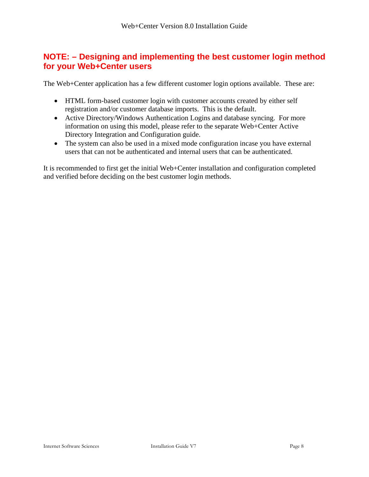### **NOTE: – Designing and implementing the best customer login method for your Web+Center users**

The Web+Center application has a few different customer login options available. These are:

- HTML form-based customer login with customer accounts created by either self registration and/or customer database imports. This is the default.
- Active Directory/Windows Authentication Logins and database syncing. For more information on using this model, please refer to the separate Web+Center Active Directory Integration and Configuration guide.
- The system can also be used in a mixed mode configuration incase you have external users that can not be authenticated and internal users that can be authenticated.

It is recommended to first get the initial Web+Center installation and configuration completed and verified before deciding on the best customer login methods.